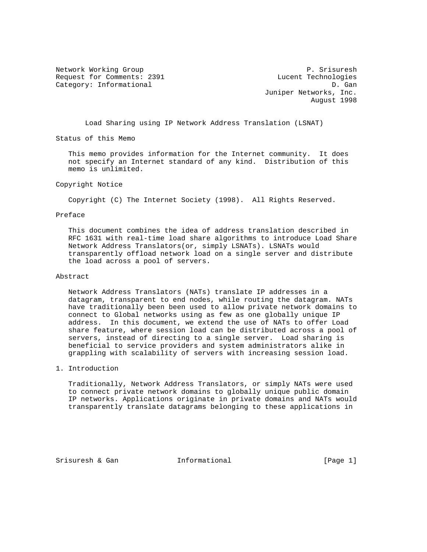Network Working Group P. Srisuresh Request for Comments: 2391 Lucent Technologies Category: Informational D. Gan

 Juniper Networks, Inc. August 1998

Load Sharing using IP Network Address Translation (LSNAT)

Status of this Memo

 This memo provides information for the Internet community. It does not specify an Internet standard of any kind. Distribution of this memo is unlimited.

## Copyright Notice

Copyright (C) The Internet Society (1998). All Rights Reserved.

# Preface

 This document combines the idea of address translation described in RFC 1631 with real-time load share algorithms to introduce Load Share Network Address Translators(or, simply LSNATs). LSNATs would transparently offload network load on a single server and distribute the load across a pool of servers.

### Abstract

 Network Address Translators (NATs) translate IP addresses in a datagram, transparent to end nodes, while routing the datagram. NATs have traditionally been been used to allow private network domains to connect to Global networks using as few as one globally unique IP address. In this document, we extend the use of NATs to offer Load share feature, where session load can be distributed across a pool of servers, instead of directing to a single server. Load sharing is beneficial to service providers and system administrators alike in grappling with scalability of servers with increasing session load.

# 1. Introduction

 Traditionally, Network Address Translators, or simply NATs were used to connect private network domains to globally unique public domain IP networks. Applications originate in private domains and NATs would transparently translate datagrams belonging to these applications in

Srisuresh & Gan  $I_n$  Informational [Page 1]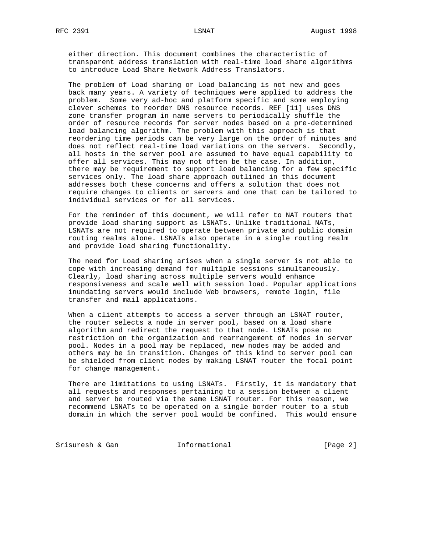either direction. This document combines the characteristic of transparent address translation with real-time load share algorithms to introduce Load Share Network Address Translators.

 The problem of Load sharing or Load balancing is not new and goes back many years. A variety of techniques were applied to address the problem. Some very ad-hoc and platform specific and some employing clever schemes to reorder DNS resource records. REF [11] uses DNS zone transfer program in name servers to periodically shuffle the order of resource records for server nodes based on a pre-determined load balancing algorithm. The problem with this approach is that reordering time periods can be very large on the order of minutes and does not reflect real-time load variations on the servers. Secondly, all hosts in the server pool are assumed to have equal capability to offer all services. This may not often be the case. In addition, there may be requirement to support load balancing for a few specific services only. The load share approach outlined in this document addresses both these concerns and offers a solution that does not require changes to clients or servers and one that can be tailored to individual services or for all services.

 For the reminder of this document, we will refer to NAT routers that provide load sharing support as LSNATs. Unlike traditional NATs, LSNATs are not required to operate between private and public domain routing realms alone. LSNATs also operate in a single routing realm and provide load sharing functionality.

 The need for Load sharing arises when a single server is not able to cope with increasing demand for multiple sessions simultaneously. Clearly, load sharing across multiple servers would enhance responsiveness and scale well with session load. Popular applications inundating servers would include Web browsers, remote login, file transfer and mail applications.

When a client attempts to access a server through an LSNAT router, the router selects a node in server pool, based on a load share algorithm and redirect the request to that node. LSNATs pose no restriction on the organization and rearrangement of nodes in server pool. Nodes in a pool may be replaced, new nodes may be added and others may be in transition. Changes of this kind to server pool can be shielded from client nodes by making LSNAT router the focal point for change management.

 There are limitations to using LSNATs. Firstly, it is mandatory that all requests and responses pertaining to a session between a client and server be routed via the same LSNAT router. For this reason, we recommend LSNATs to be operated on a single border router to a stub domain in which the server pool would be confined. This would ensure

Srisuresh & Gan  $I_n$  Informational (Page 2)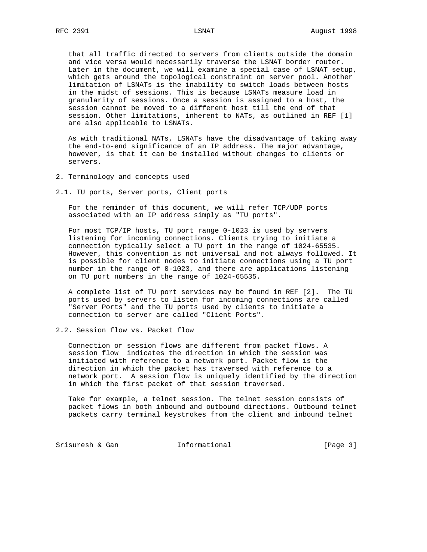that all traffic directed to servers from clients outside the domain and vice versa would necessarily traverse the LSNAT border router. Later in the document, we will examine a special case of LSNAT setup, which gets around the topological constraint on server pool. Another limitation of LSNATs is the inability to switch loads between hosts in the midst of sessions. This is because LSNATs measure load in granularity of sessions. Once a session is assigned to a host, the session cannot be moved to a different host till the end of that session. Other limitations, inherent to NATs, as outlined in REF [1] are also applicable to LSNATs.

 As with traditional NATs, LSNATs have the disadvantage of taking away the end-to-end significance of an IP address. The major advantage, however, is that it can be installed without changes to clients or servers.

- 2. Terminology and concepts used
- 2.1. TU ports, Server ports, Client ports

 For the reminder of this document, we will refer TCP/UDP ports associated with an IP address simply as "TU ports".

 For most TCP/IP hosts, TU port range 0-1023 is used by servers listening for incoming connections. Clients trying to initiate a connection typically select a TU port in the range of 1024-65535. However, this convention is not universal and not always followed. It is possible for client nodes to initiate connections using a TU port number in the range of 0-1023, and there are applications listening on TU port numbers in the range of 1024-65535.

 A complete list of TU port services may be found in REF [2]. The TU ports used by servers to listen for incoming connections are called "Server Ports" and the TU ports used by clients to initiate a connection to server are called "Client Ports".

2.2. Session flow vs. Packet flow

 Connection or session flows are different from packet flows. A session flow indicates the direction in which the session was initiated with reference to a network port. Packet flow is the direction in which the packet has traversed with reference to a network port. A session flow is uniquely identified by the direction in which the first packet of that session traversed.

 Take for example, a telnet session. The telnet session consists of packet flows in both inbound and outbound directions. Outbound telnet packets carry terminal keystrokes from the client and inbound telnet

Srisuresh & Gan  $I_n$  Informational [Page 3]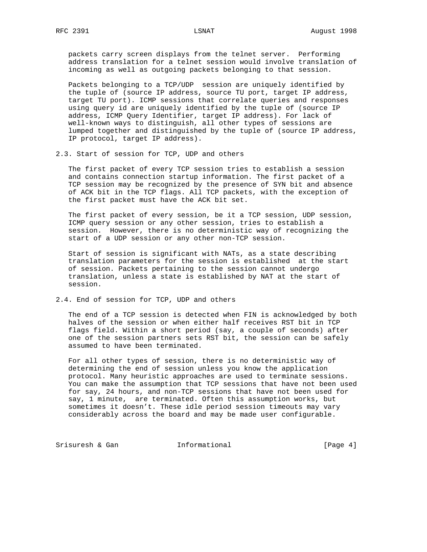packets carry screen displays from the telnet server. Performing address translation for a telnet session would involve translation of incoming as well as outgoing packets belonging to that session.

 Packets belonging to a TCP/UDP session are uniquely identified by the tuple of (source IP address, source TU port, target IP address, target TU port). ICMP sessions that correlate queries and responses using query id are uniquely identified by the tuple of (source IP address, ICMP Query Identifier, target IP address). For lack of well-known ways to distinguish, all other types of sessions are lumped together and distinguished by the tuple of (source IP address, IP protocol, target IP address).

2.3. Start of session for TCP, UDP and others

 The first packet of every TCP session tries to establish a session and contains connection startup information. The first packet of a TCP session may be recognized by the presence of SYN bit and absence of ACK bit in the TCP flags. All TCP packets, with the exception of the first packet must have the ACK bit set.

 The first packet of every session, be it a TCP session, UDP session, ICMP query session or any other session, tries to establish a session. However, there is no deterministic way of recognizing the start of a UDP session or any other non-TCP session.

 Start of session is significant with NATs, as a state describing translation parameters for the session is established at the start of session. Packets pertaining to the session cannot undergo translation, unless a state is established by NAT at the start of session.

2.4. End of session for TCP, UDP and others

 The end of a TCP session is detected when FIN is acknowledged by both halves of the session or when either half receives RST bit in TCP flags field. Within a short period (say, a couple of seconds) after one of the session partners sets RST bit, the session can be safely assumed to have been terminated.

 For all other types of session, there is no deterministic way of determining the end of session unless you know the application protocol. Many heuristic approaches are used to terminate sessions. You can make the assumption that TCP sessions that have not been used for say, 24 hours, and non-TCP sessions that have not been used for say, 1 minute, are terminated. Often this assumption works, but sometimes it doesn't. These idle period session timeouts may vary considerably across the board and may be made user configurable.

Srisuresh & Gan  $I_n$  Informational [Page 4]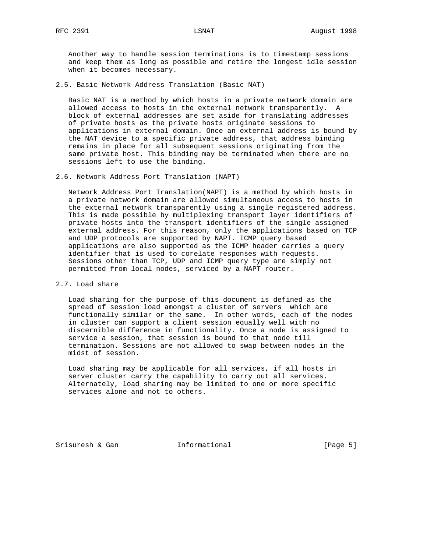Another way to handle session terminations is to timestamp sessions and keep them as long as possible and retire the longest idle session when it becomes necessary.

2.5. Basic Network Address Translation (Basic NAT)

 Basic NAT is a method by which hosts in a private network domain are allowed access to hosts in the external network transparently. A block of external addresses are set aside for translating addresses of private hosts as the private hosts originate sessions to applications in external domain. Once an external address is bound by the NAT device to a specific private address, that address binding remains in place for all subsequent sessions originating from the same private host. This binding may be terminated when there are no sessions left to use the binding.

2.6. Network Address Port Translation (NAPT)

 Network Address Port Translation(NAPT) is a method by which hosts in a private network domain are allowed simultaneous access to hosts in the external network transparently using a single registered address. This is made possible by multiplexing transport layer identifiers of private hosts into the transport identifiers of the single assigned external address. For this reason, only the applications based on TCP and UDP protocols are supported by NAPT. ICMP query based applications are also supported as the ICMP header carries a query identifier that is used to corelate responses with requests. Sessions other than TCP, UDP and ICMP query type are simply not permitted from local nodes, serviced by a NAPT router.

2.7. Load share

 Load sharing for the purpose of this document is defined as the spread of session load amongst a cluster of servers which are functionally similar or the same. In other words, each of the nodes in cluster can support a client session equally well with no discernible difference in functionality. Once a node is assigned to service a session, that session is bound to that node till termination. Sessions are not allowed to swap between nodes in the midst of session.

 Load sharing may be applicable for all services, if all hosts in server cluster carry the capability to carry out all services. Alternately, load sharing may be limited to one or more specific services alone and not to others.

Srisuresh & Gan  $I_n$  Informational [Page 5]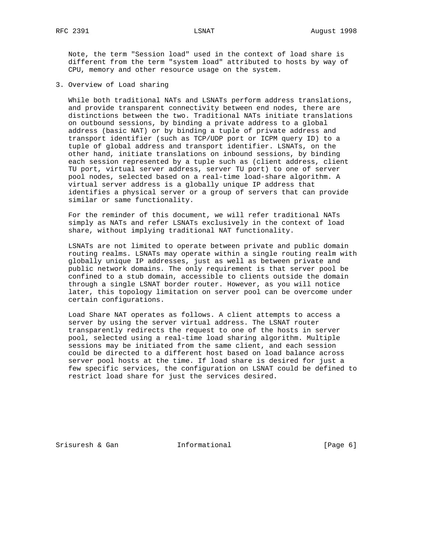Note, the term "Session load" used in the context of load share is different from the term "system load" attributed to hosts by way of CPU, memory and other resource usage on the system.

3. Overview of Load sharing

 While both traditional NATs and LSNATs perform address translations, and provide transparent connectivity between end nodes, there are distinctions between the two. Traditional NATs initiate translations on outbound sessions, by binding a private address to a global address (basic NAT) or by binding a tuple of private address and transport identifier (such as TCP/UDP port or ICPM query ID) to a tuple of global address and transport identifier. LSNATs, on the other hand, initiate translations on inbound sessions, by binding each session represented by a tuple such as (client address, client TU port, virtual server address, server TU port) to one of server pool nodes, selected based on a real-time load-share algorithm. A virtual server address is a globally unique IP address that identifies a physical server or a group of servers that can provide similar or same functionality.

 For the reminder of this document, we will refer traditional NATs simply as NATs and refer LSNATs exclusively in the context of load share, without implying traditional NAT functionality.

 LSNATs are not limited to operate between private and public domain routing realms. LSNATs may operate within a single routing realm with globally unique IP addresses, just as well as between private and public network domains. The only requirement is that server pool be confined to a stub domain, accessible to clients outside the domain through a single LSNAT border router. However, as you will notice later, this topology limitation on server pool can be overcome under certain configurations.

 Load Share NAT operates as follows. A client attempts to access a server by using the server virtual address. The LSNAT router transparently redirects the request to one of the hosts in server pool, selected using a real-time load sharing algorithm. Multiple sessions may be initiated from the same client, and each session could be directed to a different host based on load balance across server pool hosts at the time. If load share is desired for just a few specific services, the configuration on LSNAT could be defined to restrict load share for just the services desired.

Srisuresh & Gan  $I_n$  Informational [Page 6]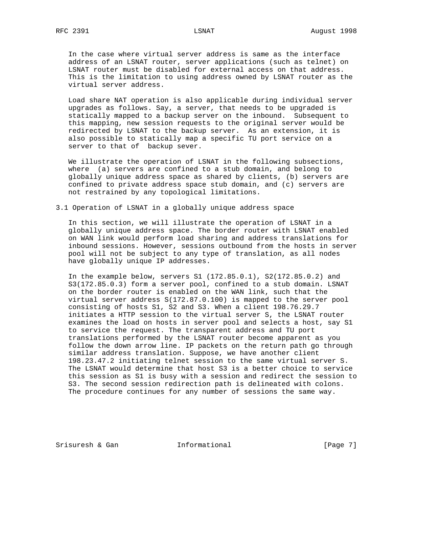In the case where virtual server address is same as the interface address of an LSNAT router, server applications (such as telnet) on LSNAT router must be disabled for external access on that address. This is the limitation to using address owned by LSNAT router as the virtual server address.

 Load share NAT operation is also applicable during individual server upgrades as follows. Say, a server, that needs to be upgraded is statically mapped to a backup server on the inbound. Subsequent to this mapping, new session requests to the original server would be redirected by LSNAT to the backup server. As an extension, it is also possible to statically map a specific TU port service on a server to that of backup sever.

 We illustrate the operation of LSNAT in the following subsections, where (a) servers are confined to a stub domain, and belong to globally unique address space as shared by clients, (b) servers are confined to private address space stub domain, and (c) servers are not restrained by any topological limitations.

3.1 Operation of LSNAT in a globally unique address space

 In this section, we will illustrate the operation of LSNAT in a globally unique address space. The border router with LSNAT enabled on WAN link would perform load sharing and address translations for inbound sessions. However, sessions outbound from the hosts in server pool will not be subject to any type of translation, as all nodes have globally unique IP addresses.

 In the example below, servers S1 (172.85.0.1), S2(172.85.0.2) and S3(172.85.0.3) form a server pool, confined to a stub domain. LSNAT on the border router is enabled on the WAN link, such that the virtual server address S(172.87.0.100) is mapped to the server pool consisting of hosts S1, S2 and S3. When a client 198.76.29.7 initiates a HTTP session to the virtual server S, the LSNAT router examines the load on hosts in server pool and selects a host, say S1 to service the request. The transparent address and TU port translations performed by the LSNAT router become apparent as you follow the down arrow line. IP packets on the return path go through similar address translation. Suppose, we have another client 198.23.47.2 initiating telnet session to the same virtual server S. The LSNAT would determine that host S3 is a better choice to service this session as S1 is busy with a session and redirect the session to S3. The second session redirection path is delineated with colons. The procedure continues for any number of sessions the same way.

Srisuresh & Gan  $I_n$  Informational [Page 7]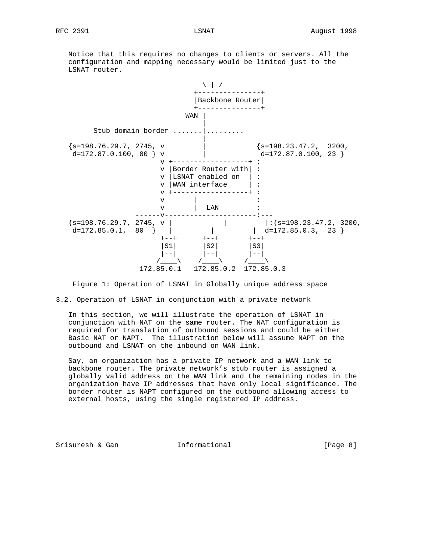Notice that this requires no changes to clients or servers. All the configuration and mapping necessary would be limited just to the LSNAT router.



Figure 1: Operation of LSNAT in Globally unique address space

3.2. Operation of LSNAT in conjunction with a private network

 In this section, we will illustrate the operation of LSNAT in conjunction with NAT on the same router. The NAT configuration is required for translation of outbound sessions and could be either Basic NAT or NAPT. The illustration below will assume NAPT on the outbound and LSNAT on the inbound on WAN link.

 Say, an organization has a private IP network and a WAN link to backbone router. The private network's stub router is assigned a globally valid address on the WAN link and the remaining nodes in the organization have IP addresses that have only local significance. The border router is NAPT configured on the outbound allowing access to external hosts, using the single registered IP address.

Srisuresh & Gan  $I_n$  Informational [Page 8]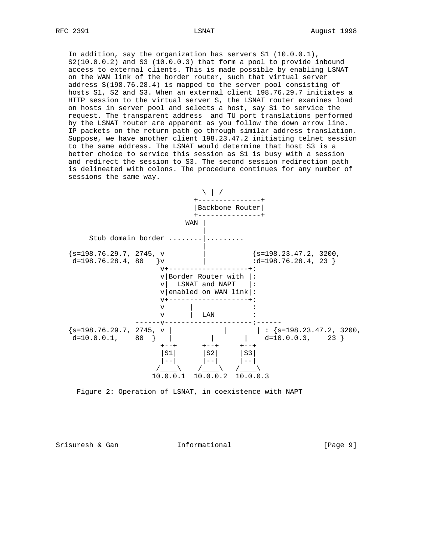In addition, say the organization has servers S1 (10.0.0.1),  $S2(10.0.0.2)$  and  $S3(10.0.0.3)$  that form a pool to provide inbound access to external clients. This is made possible by enabling LSNAT on the WAN link of the border router, such that virtual server address S(198.76.28.4) is mapped to the server pool consisting of hosts S1, S2 and S3. When an external client 198.76.29.7 initiates a HTTP session to the virtual server S, the LSNAT router examines load on hosts in server pool and selects a host, say S1 to service the request. The transparent address and TU port translations performed by the LSNAT router are apparent as you follow the down arrow line. IP packets on the return path go through similar address translation. Suppose, we have another client 198.23.47.2 initiating telnet session to the same address. The LSNAT would determine that host S3 is a better choice to service this session as S1 is busy with a session and redirect the session to S3. The second session redirection path is delineated with colons. The procedure continues for any number of sessions the same way.



Figure 2: Operation of LSNAT, in coexistence with NAPT

Srisuresh & Gan  $I_n$  Informational [Page 9]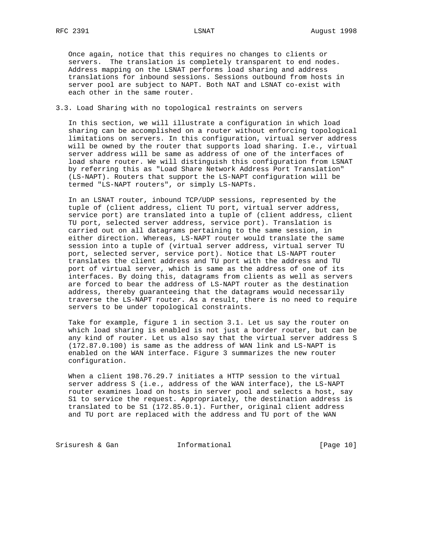Once again, notice that this requires no changes to clients or servers. The translation is completely transparent to end nodes. Address mapping on the LSNAT performs load sharing and address translations for inbound sessions. Sessions outbound from hosts in server pool are subject to NAPT. Both NAT and LSNAT co-exist with each other in the same router.

# 3.3. Load Sharing with no topological restraints on servers

 In this section, we will illustrate a configuration in which load sharing can be accomplished on a router without enforcing topological limitations on servers. In this configuration, virtual server address will be owned by the router that supports load sharing. I.e., virtual server address will be same as address of one of the interfaces of load share router. We will distinguish this configuration from LSNAT by referring this as "Load Share Network Address Port Translation" (LS-NAPT). Routers that support the LS-NAPT configuration will be termed "LS-NAPT routers", or simply LS-NAPTs.

 In an LSNAT router, inbound TCP/UDP sessions, represented by the tuple of (client address, client TU port, virtual server address, service port) are translated into a tuple of (client address, client TU port, selected server address, service port). Translation is carried out on all datagrams pertaining to the same session, in either direction. Whereas, LS-NAPT router would translate the same session into a tuple of (virtual server address, virtual server TU port, selected server, service port). Notice that LS-NAPT router translates the client address and TU port with the address and TU port of virtual server, which is same as the address of one of its interfaces. By doing this, datagrams from clients as well as servers are forced to bear the address of LS-NAPT router as the destination address, thereby guaranteeing that the datagrams would necessarily traverse the LS-NAPT router. As a result, there is no need to require servers to be under topological constraints.

 Take for example, figure 1 in section 3.1. Let us say the router on which load sharing is enabled is not just a border router, but can be any kind of router. Let us also say that the virtual server address S (172.87.0.100) is same as the address of WAN link and LS-NAPT is enabled on the WAN interface. Figure 3 summarizes the new router configuration.

When a client 198.76.29.7 initiates a HTTP session to the virtual server address S (i.e., address of the WAN interface), the LS-NAPT router examines load on hosts in server pool and selects a host, say S1 to service the request. Appropriately, the destination address is translated to be S1 (172.85.0.1). Further, original client address and TU port are replaced with the address and TU port of the WAN

Srisuresh & Gan **Informational** [Page 10]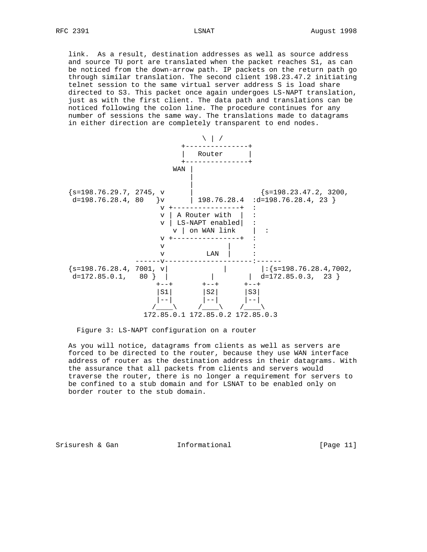link. As a result, destination addresses as well as source address and source TU port are translated when the packet reaches S1, as can be noticed from the down-arrow path. IP packets on the return path go through similar translation. The second client 198.23.47.2 initiating telnet session to the same virtual server address S is load share directed to S3. This packet once again undergoes LS-NAPT translation, just as with the first client. The data path and translations can be noticed following the colon line. The procedure continues for any number of sessions the same way. The translations made to datagrams in either direction are completely transparent to end nodes.



Figure 3: LS-NAPT configuration on a router

 As you will notice, datagrams from clients as well as servers are forced to be directed to the router, because they use WAN interface address of router as the destination address in their datagrams. With the assurance that all packets from clients and servers would traverse the router, there is no longer a requirement for servers to be confined to a stub domain and for LSNAT to be enabled only on border router to the stub domain.

Srisuresh & Gan  $I_n$  Informational [Page 11]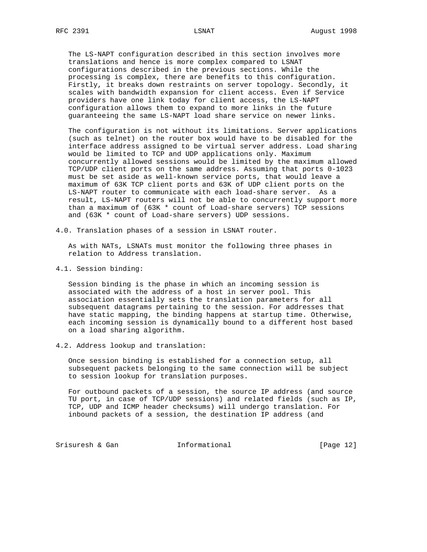The LS-NAPT configuration described in this section involves more translations and hence is more complex compared to LSNAT configurations described in the previous sections. While the processing is complex, there are benefits to this configuration. Firstly, it breaks down restraints on server topology. Secondly, it scales with bandwidth expansion for client access. Even if Service providers have one link today for client access, the LS-NAPT configuration allows them to expand to more links in the future guaranteeing the same LS-NAPT load share service on newer links.

 The configuration is not without its limitations. Server applications (such as telnet) on the router box would have to be disabled for the interface address assigned to be virtual server address. Load sharing would be limited to TCP and UDP applications only. Maximum concurrently allowed sessions would be limited by the maximum allowed TCP/UDP client ports on the same address. Assuming that ports 0-1023 must be set aside as well-known service ports, that would leave a maximum of 63K TCP client ports and 63K of UDP client ports on the LS-NAPT router to communicate with each load-share server. As a result, LS-NAPT routers will not be able to concurrently support more than a maximum of (63K \* count of Load-share servers) TCP sessions and (63K \* count of Load-share servers) UDP sessions.

4.0. Translation phases of a session in LSNAT router.

 As with NATs, LSNATs must monitor the following three phases in relation to Address translation.

4.1. Session binding:

 Session binding is the phase in which an incoming session is associated with the address of a host in server pool. This association essentially sets the translation parameters for all subsequent datagrams pertaining to the session. For addresses that have static mapping, the binding happens at startup time. Otherwise, each incoming session is dynamically bound to a different host based on a load sharing algorithm.

4.2. Address lookup and translation:

 Once session binding is established for a connection setup, all subsequent packets belonging to the same connection will be subject to session lookup for translation purposes.

 For outbound packets of a session, the source IP address (and source TU port, in case of TCP/UDP sessions) and related fields (such as IP, TCP, UDP and ICMP header checksums) will undergo translation. For inbound packets of a session, the destination IP address (and

Srisuresh & Gan  $I_n$  Informational [Page 12]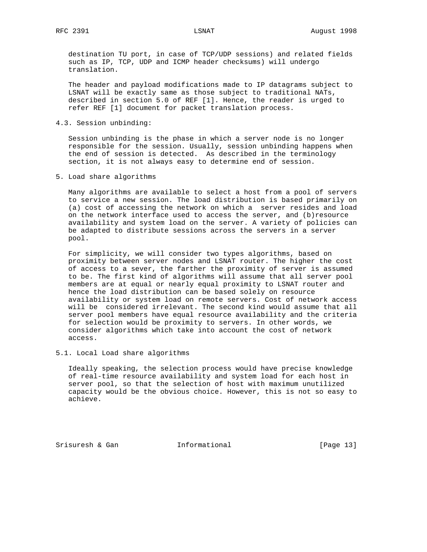destination TU port, in case of TCP/UDP sessions) and related fields such as IP, TCP, UDP and ICMP header checksums) will undergo translation.

 The header and payload modifications made to IP datagrams subject to LSNAT will be exactly same as those subject to traditional NATs, described in section 5.0 of REF [1]. Hence, the reader is urged to refer REF [1] document for packet translation process.

4.3. Session unbinding:

 Session unbinding is the phase in which a server node is no longer responsible for the session. Usually, session unbinding happens when the end of session is detected. As described in the terminology section, it is not always easy to determine end of session.

5. Load share algorithms

 Many algorithms are available to select a host from a pool of servers to service a new session. The load distribution is based primarily on (a) cost of accessing the network on which a server resides and load on the network interface used to access the server, and (b)resource availability and system load on the server. A variety of policies can be adapted to distribute sessions across the servers in a server pool.

 For simplicity, we will consider two types algorithms, based on proximity between server nodes and LSNAT router. The higher the cost of access to a sever, the farther the proximity of server is assumed to be. The first kind of algorithms will assume that all server pool members are at equal or nearly equal proximity to LSNAT router and hence the load distribution can be based solely on resource availability or system load on remote servers. Cost of network access will be considered irrelevant. The second kind would assume that all server pool members have equal resource availability and the criteria for selection would be proximity to servers. In other words, we consider algorithms which take into account the cost of network access.

5.1. Local Load share algorithms

 Ideally speaking, the selection process would have precise knowledge of real-time resource availability and system load for each host in server pool, so that the selection of host with maximum unutilized capacity would be the obvious choice. However, this is not so easy to achieve.

Srisuresh & Gan  $I_n$  Informational [Page 13]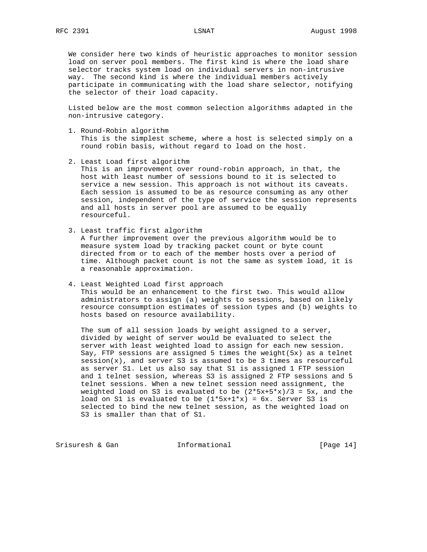We consider here two kinds of heuristic approaches to monitor session load on server pool members. The first kind is where the load share selector tracks system load on individual servers in non-intrusive way. The second kind is where the individual members actively participate in communicating with the load share selector, notifying the selector of their load capacity.

 Listed below are the most common selection algorithms adapted in the non-intrusive category.

- 1. Round-Robin algorithm This is the simplest scheme, where a host is selected simply on a round robin basis, without regard to load on the host.
- 2. Least Load first algorithm

 This is an improvement over round-robin approach, in that, the host with least number of sessions bound to it is selected to service a new session. This approach is not without its caveats. Each session is assumed to be as resource consuming as any other session, independent of the type of service the session represents and all hosts in server pool are assumed to be equally resourceful.

3. Least traffic first algorithm

 A further improvement over the previous algorithm would be to measure system load by tracking packet count or byte count directed from or to each of the member hosts over a period of time. Although packet count is not the same as system load, it is a reasonable approximation.

 4. Least Weighted Load first approach This would be an enhancement to the first two. This would allow administrators to assign (a) weights to sessions, based on likely resource consumption estimates of session types and (b) weights to hosts based on resource availability.

 The sum of all session loads by weight assigned to a server, divided by weight of server would be evaluated to select the server with least weighted load to assign for each new session. Say, FTP sessions are assigned 5 times the weight( $5x$ ) as a telnet session(x), and server S3 is assumed to be 3 times as resourceful as server S1. Let us also say that S1 is assigned 1 FTP session and 1 telnet session, whereas S3 is assigned 2 FTP sessions and 5 telnet sessions. When a new telnet session need assignment, the weighted load on S3 is evaluated to be  $(2*5x+5*x)/3 = 5x$ , and the load on S1 is evaluated to be  $(1*5x+1*x) = 6x$ . Server S3 is selected to bind the new telnet session, as the weighted load on S3 is smaller than that of S1.

Srisuresh & Gan  $I_n$  Informational [Page 14]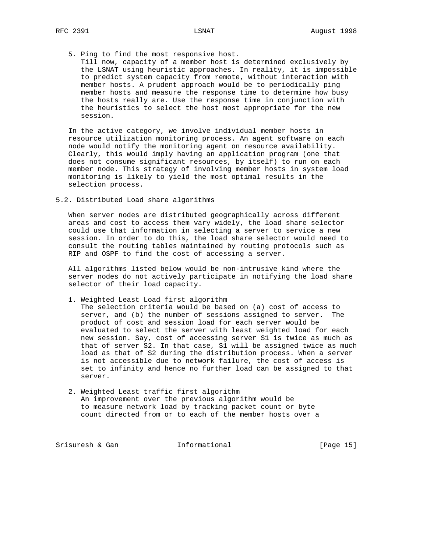## 5. Ping to find the most responsive host.

 Till now, capacity of a member host is determined exclusively by the LSNAT using heuristic approaches. In reality, it is impossible to predict system capacity from remote, without interaction with member hosts. A prudent approach would be to periodically ping member hosts and measure the response time to determine how busy the hosts really are. Use the response time in conjunction with the heuristics to select the host most appropriate for the new session.

 In the active category, we involve individual member hosts in resource utilization monitoring process. An agent software on each node would notify the monitoring agent on resource availability. Clearly, this would imply having an application program (one that does not consume significant resources, by itself) to run on each member node. This strategy of involving member hosts in system load monitoring is likely to yield the most optimal results in the selection process.

5.2. Distributed Load share algorithms

 When server nodes are distributed geographically across different areas and cost to access them vary widely, the load share selector could use that information in selecting a server to service a new session. In order to do this, the load share selector would need to consult the routing tables maintained by routing protocols such as RIP and OSPF to find the cost of accessing a server.

 All algorithms listed below would be non-intrusive kind where the server nodes do not actively participate in notifying the load share selector of their load capacity.

1. Weighted Least Load first algorithm

 The selection criteria would be based on (a) cost of access to server, and (b) the number of sessions assigned to server. The product of cost and session load for each server would be evaluated to select the server with least weighted load for each new session. Say, cost of accessing server S1 is twice as much as that of server S2. In that case, S1 will be assigned twice as much load as that of S2 during the distribution process. When a server is not accessible due to network failure, the cost of access is set to infinity and hence no further load can be assigned to that server.

 2. Weighted Least traffic first algorithm An improvement over the previous algorithm would be to measure network load by tracking packet count or byte count directed from or to each of the member hosts over a

Srisuresh & Gan  $I_n$  Informational [Page 15]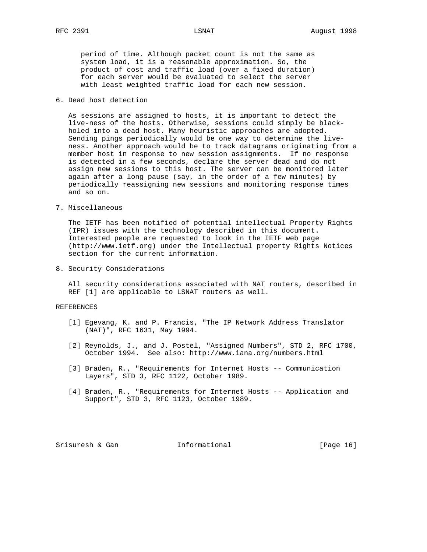period of time. Although packet count is not the same as system load, it is a reasonable approximation. So, the product of cost and traffic load (over a fixed duration) for each server would be evaluated to select the server with least weighted traffic load for each new session.

# 6. Dead host detection

 As sessions are assigned to hosts, it is important to detect the live-ness of the hosts. Otherwise, sessions could simply be black holed into a dead host. Many heuristic approaches are adopted. Sending pings periodically would be one way to determine the live ness. Another approach would be to track datagrams originating from a member host in response to new session assignments. If no response is detected in a few seconds, declare the server dead and do not assign new sessions to this host. The server can be monitored later again after a long pause (say, in the order of a few minutes) by periodically reassigning new sessions and monitoring response times and so on.

# 7. Miscellaneous

 The IETF has been notified of potential intellectual Property Rights (IPR) issues with the technology described in this document. Interested people are requested to look in the IETF web page (http://www.ietf.org) under the Intellectual property Rights Notices section for the current information.

8. Security Considerations

 All security considerations associated with NAT routers, described in REF [1] are applicable to LSNAT routers as well.

# REFERENCES

- [1] Egevang, K. and P. Francis, "The IP Network Address Translator (NAT)", RFC 1631, May 1994.
- [2] Reynolds, J., and J. Postel, "Assigned Numbers", STD 2, RFC 1700, October 1994. See also: http://www.iana.org/numbers.html
- [3] Braden, R., "Requirements for Internet Hosts -- Communication Layers", STD 3, RFC 1122, October 1989.
- [4] Braden, R., "Requirements for Internet Hosts -- Application and Support", STD 3, RFC 1123, October 1989.

Srisuresh & Gan  $I_n$  Informational [Page 16]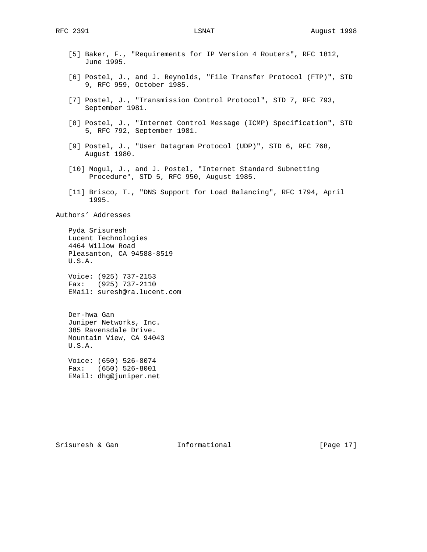- [5] Baker, F., "Requirements for IP Version 4 Routers", RFC 1812, June 1995. [6] Postel, J., and J. Reynolds, "File Transfer Protocol (FTP)", STD 9, RFC 959, October 1985. [7] Postel, J., "Transmission Control Protocol", STD 7, RFC 793, September 1981. [8] Postel, J., "Internet Control Message (ICMP) Specification", STD 5, RFC 792, September 1981. [9] Postel, J., "User Datagram Protocol (UDP)", STD 6, RFC 768, August 1980. [10] Mogul, J., and J. Postel, "Internet Standard Subnetting Procedure", STD 5, RFC 950, August 1985. [11] Brisco, T., "DNS Support for Load Balancing", RFC 1794, April 1995. Authors' Addresses Pyda Srisuresh Lucent Technologies 4464 Willow Road Pleasanton, CA 94588-8519 U.S.A. Voice: (925) 737-2153 Fax: (925) 737-2110 EMail: suresh@ra.lucent.com Der-hwa Gan Juniper Networks, Inc. 385 Ravensdale Drive. Mountain View, CA 94043 U.S.A. Voice: (650) 526-8074
	- Fax: (650) 526-8001 EMail: dhg@juniper.net

Srisuresh & Gan  $I_n$  Informational [Page 17]